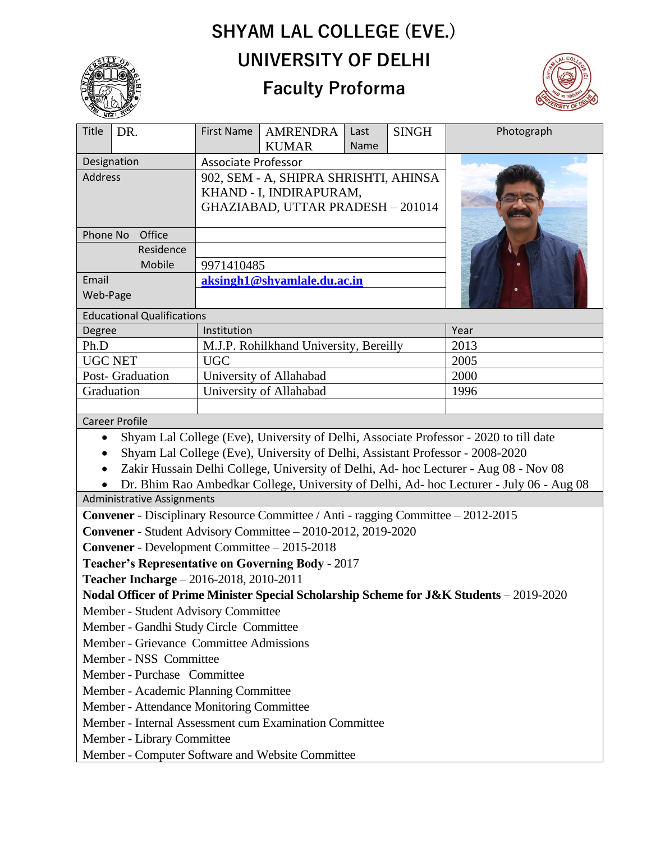## **SHYAM LAL COLLEGE (EVE.) UNIVERSITY OF DELHI**



## **Faculty Proforma**



| سے واقعہ<br>Title<br>DR.                                                                                                                                              | <b>First Name</b>                                                | <b>AMRENDRA</b> | Last | <b>SINGH</b> | Photograph |
|-----------------------------------------------------------------------------------------------------------------------------------------------------------------------|------------------------------------------------------------------|-----------------|------|--------------|------------|
|                                                                                                                                                                       | <b>KUMAR</b><br><b>Name</b><br><b>Associate Professor</b>        |                 |      |              |            |
| Designation<br><b>Address</b>                                                                                                                                         |                                                                  |                 |      |              |            |
|                                                                                                                                                                       | 902, SEM - A, SHIPRA SHRISHTI, AHINSA<br>KHAND - I, INDIRAPURAM, |                 |      |              |            |
|                                                                                                                                                                       | GHAZIABAD, UTTAR PRADESH - 201014                                |                 |      |              |            |
|                                                                                                                                                                       |                                                                  |                 |      |              |            |
| Phone No<br>Office                                                                                                                                                    |                                                                  |                 |      |              |            |
| Residence                                                                                                                                                             |                                                                  |                 |      |              |            |
| Mobile                                                                                                                                                                | 9971410485                                                       |                 |      |              |            |
| Email                                                                                                                                                                 | aksingh1@shyamlale.du.ac.in                                      |                 |      |              |            |
| Web-Page                                                                                                                                                              |                                                                  |                 |      |              |            |
| <b>Educational Qualifications</b>                                                                                                                                     |                                                                  |                 |      |              |            |
| Degree                                                                                                                                                                | Institution                                                      |                 |      |              | Year       |
| Ph.D                                                                                                                                                                  | M.J.P. Rohilkhand University, Bereilly                           |                 |      | 2013         |            |
| <b>UGC NET</b>                                                                                                                                                        | <b>UGC</b>                                                       |                 |      | 2005         |            |
| Post- Graduation                                                                                                                                                      | University of Allahabad                                          |                 |      | 2000         |            |
| Graduation                                                                                                                                                            | University of Allahabad                                          |                 |      | 1996         |            |
|                                                                                                                                                                       |                                                                  |                 |      |              |            |
| <b>Career Profile</b>                                                                                                                                                 |                                                                  |                 |      |              |            |
| Shyam Lal College (Eve), University of Delhi, Associate Professor - 2020 to till date                                                                                 |                                                                  |                 |      |              |            |
| Shyam Lal College (Eve), University of Delhi, Assistant Professor - 2008-2020<br>Zakir Hussain Delhi College, University of Delhi, Ad- hoc Lecturer - Aug 08 - Nov 08 |                                                                  |                 |      |              |            |
| Dr. Bhim Rao Ambedkar College, University of Delhi, Ad- hoc Lecturer - July 06 - Aug 08                                                                               |                                                                  |                 |      |              |            |
| <b>Administrative Assignments</b>                                                                                                                                     |                                                                  |                 |      |              |            |
| <b>Convener</b> - Disciplinary Resource Committee / Anti - ragging Committee – 2012-2015                                                                              |                                                                  |                 |      |              |            |
| Convener - Student Advisory Committee - 2010-2012, 2019-2020                                                                                                          |                                                                  |                 |      |              |            |
| <b>Convener</b> - Development Committee - 2015-2018                                                                                                                   |                                                                  |                 |      |              |            |
| <b>Teacher's Representative on Governing Body - 2017</b>                                                                                                              |                                                                  |                 |      |              |            |
| Teacher Incharge - 2016-2018, 2010-2011                                                                                                                               |                                                                  |                 |      |              |            |
| Nodal Officer of Prime Minister Special Scholarship Scheme for J&K Students - 2019-2020                                                                               |                                                                  |                 |      |              |            |
| Member - Student Advisory Committee                                                                                                                                   |                                                                  |                 |      |              |            |
| Member - Gandhi Study Circle Committee                                                                                                                                |                                                                  |                 |      |              |            |
| Member - Grievance Committee Admissions                                                                                                                               |                                                                  |                 |      |              |            |
| Member - NSS Committee                                                                                                                                                |                                                                  |                 |      |              |            |
| Member - Purchase Committee                                                                                                                                           |                                                                  |                 |      |              |            |
| Member - Academic Planning Committee                                                                                                                                  |                                                                  |                 |      |              |            |
| Member - Attendance Monitoring Committee                                                                                                                              |                                                                  |                 |      |              |            |
| Member - Internal Assessment cum Examination Committee                                                                                                                |                                                                  |                 |      |              |            |
| Member - Library Committee                                                                                                                                            |                                                                  |                 |      |              |            |
| Member - Computer Software and Website Committee                                                                                                                      |                                                                  |                 |      |              |            |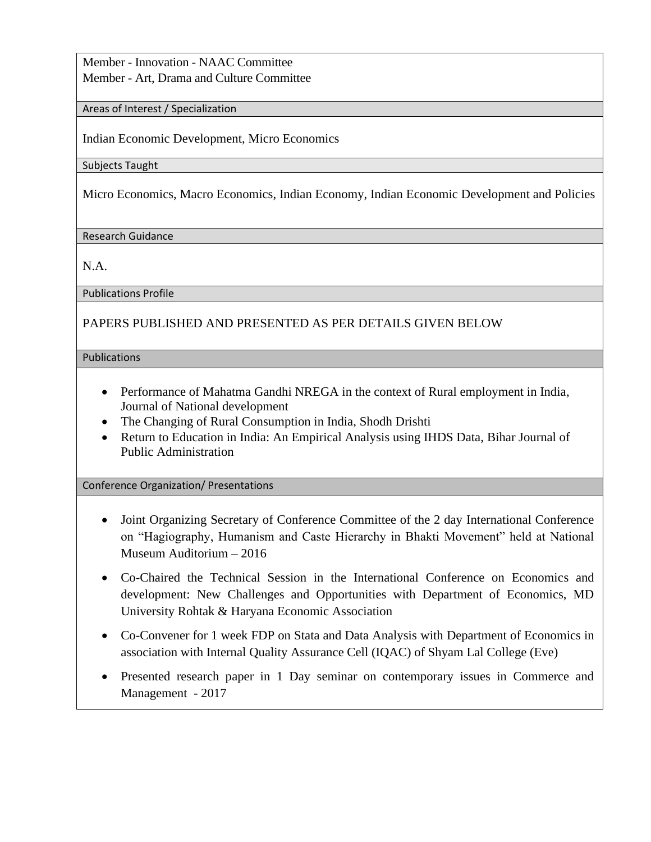Member - Innovation - NAAC Committee Member - Art, Drama and Culture Committee

Areas of Interest / Specialization

Indian Economic Development, Micro Economics

Subjects Taught

Micro Economics, Macro Economics, Indian Economy, Indian Economic Development and Policies

Research Guidance

N.A.

Publications Profile

## PAPERS PUBLISHED AND PRESENTED AS PER DETAILS GIVEN BELOW

Publications

- Performance of Mahatma Gandhi NREGA in the context of Rural employment in India, Journal of National development
- The Changing of Rural Consumption in India, Shodh Drishti
- Return to Education in India: An Empirical Analysis using IHDS Data, Bihar Journal of Public Administration

Conference Organization/ Presentations

- Joint Organizing Secretary of Conference Committee of the 2 day International Conference on "Hagiography, Humanism and Caste Hierarchy in Bhakti Movement" held at National Museum Auditorium – 2016
- Co-Chaired the Technical Session in the International Conference on Economics and development: New Challenges and Opportunities with Department of Economics, MD University Rohtak & Haryana Economic Association
- Co-Convener for 1 week FDP on Stata and Data Analysis with Department of Economics in association with Internal Quality Assurance Cell (IQAC) of Shyam Lal College (Eve)
- Presented research paper in 1 Day seminar on contemporary issues in Commerce and Management - 2017